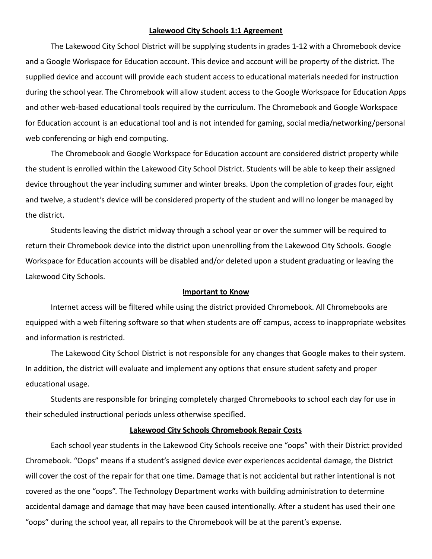### **Lakewood City Schools 1:1 Agreement**

The Lakewood City School District will be supplying students in grades 1-12 with a Chromebook device and a Google Workspace for Education account. This device and account will be property of the district. The supplied device and account will provide each student access to educational materials needed for instruction during the school year. The Chromebook will allow student access to the Google Workspace for Education Apps and other web-based educational tools required by the curriculum. The Chromebook and Google Workspace for Education account is an educational tool and is not intended for gaming, social media/networking/personal web conferencing or high end computing.

The Chromebook and Google Workspace for Education account are considered district property while the student is enrolled within the Lakewood City School District. Students will be able to keep their assigned device throughout the year including summer and winter breaks. Upon the completion of grades four, eight and twelve, a student's device will be considered property of the student and will no longer be managed by the district.

Students leaving the district midway through a school year or over the summer will be required to return their Chromebook device into the district upon unenrolling from the Lakewood City Schools. Google Workspace for Education accounts will be disabled and/or deleted upon a student graduating or leaving the Lakewood City Schools.

### **Important to Know**

Internet access will be filtered while using the district provided Chromebook. All Chromebooks are equipped with a web filtering software so that when students are off campus, access to inappropriate websites and information is restricted.

The Lakewood City School District is not responsible for any changes that Google makes to their system. In addition, the district will evaluate and implement any options that ensure student safety and proper educational usage.

Students are responsible for bringing completely charged Chromebooks to school each day for use in their scheduled instructional periods unless otherwise specified.

#### **Lakewood City Schools Chromebook Repair Costs**

Each school year students in the Lakewood City Schools receive one "oops" with their District provided Chromebook. "Oops" means if a student's assigned device ever experiences accidental damage, the District will cover the cost of the repair for that one time. Damage that is not accidental but rather intentional is not covered as the one "oops". The Technology Department works with building administration to determine accidental damage and damage that may have been caused intentionally. After a student has used their one "oops" during the school year, all repairs to the Chromebook will be at the parent's expense.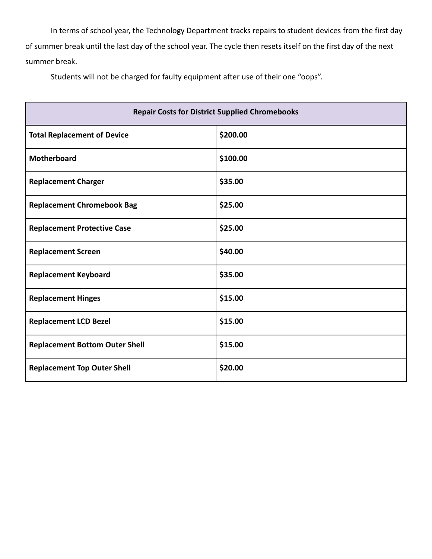In terms of school year, the Technology Department tracks repairs to student devices from the first day of summer break until the last day of the school year. The cycle then resets itself on the first day of the next summer break.

Students will not be charged for faulty equipment after use of their one "oops".

| <b>Repair Costs for District Supplied Chromebooks</b> |          |
|-------------------------------------------------------|----------|
| <b>Total Replacement of Device</b>                    | \$200.00 |
| Motherboard                                           | \$100.00 |
| <b>Replacement Charger</b>                            | \$35.00  |
| <b>Replacement Chromebook Bag</b>                     | \$25.00  |
| <b>Replacement Protective Case</b>                    | \$25.00  |
| <b>Replacement Screen</b>                             | \$40.00  |
| <b>Replacement Keyboard</b>                           | \$35.00  |
| <b>Replacement Hinges</b>                             | \$15.00  |
| <b>Replacement LCD Bezel</b>                          | \$15.00  |
| <b>Replacement Bottom Outer Shell</b>                 | \$15.00  |
| <b>Replacement Top Outer Shell</b>                    | \$20.00  |